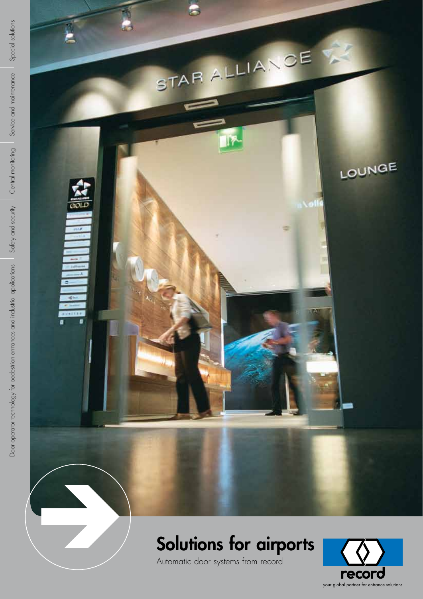

# Solutions for airports

Automatic door systems from record



Special solutions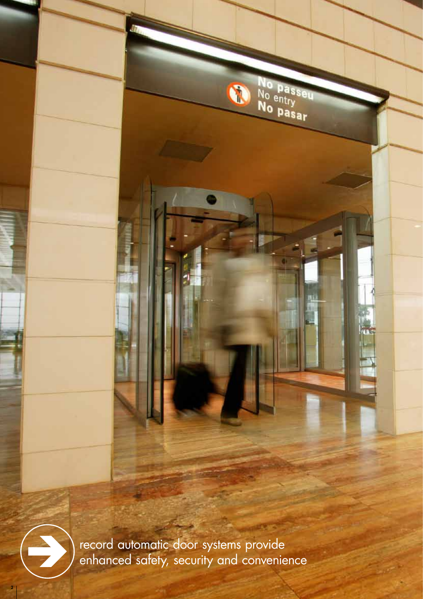No passeu<br>No entry<br>No pasar

 $\boldsymbol{c}$ 



2

record automatic door systems provide enhanced safety, security and convenience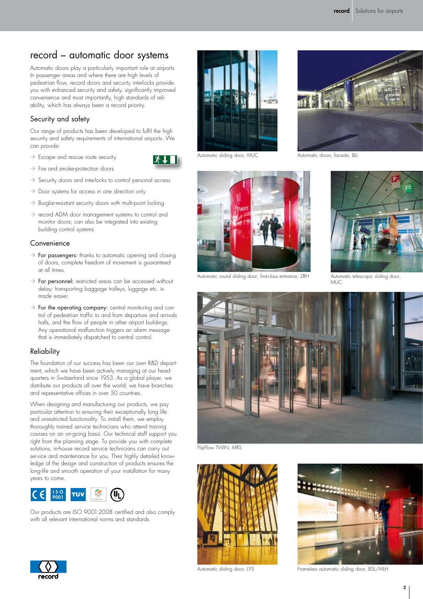# record – automatic door systems

Automatic doors play a particularly important role at airports. In passenger areas and where there are high levels of pedestrian flow, record doors and security interlocks provide you with enhanced security and safety, significantly improved convenience and most importantly, high standards of reliability, which has always been a record priority.

### Security and safety

Our range of products has been developed to fulfil the high security and safety requirements of international airports. We can provide:

- $\rightarrow$  Escape and rescue route security
- $\rightarrow$  Fire and smoke-protection doors
- $\rightarrow$  Security doors and interlocks to control personal access
- $\rightarrow$  Door systems for access in one direction only
- $\rightarrow$  Burglar-resistant security doors with multi-point locking
- $\rightarrow$  record ADM door management systems to control and monitor doors; can also be integrated into existing building control systems

#### **Convenience**

- $\rightarrow$  For passengers: thanks to automatic opening and closing of doors, complete freedom of movement is guaranteed at all times.
- $\rightarrow$  For personnel: restricted areas can be accessed without delay; transporting baggage trolleys, luggage etc. is made easier.
- $\rightarrow$  For the operating company: central monitoring and control of pedestrian traffic to and from departure and arrivals halls, and the flow of people in other airport buildings. Any operational malfunction triggers an alarm message that is immediately dispatched to central control.

### Reliability

The foundation of our success has been our own R&D department, which we have been actively managing at our headquarters in Switzerland since 1953. As a global player, we distribute our products all over the world; we have branches and representative offices in over 50 countries.

When designing and manufacturing our products, we pay particular attention to ensuring their exceptionally long life and unrestricted functionality. To install them, we employ thoroughly trained service technicians who attend training courses on an on-going basis. Our technical staff support you right from the planning stage. To provide you with complete solutions, in-house record service technicians can carry out service and maintenance for you. Their highly detailed knowledge of the design and construction of products ensures the long-life and smooth operation of your installation for many years to come.



Our products are ISO 9001:2008 certified and also comply with all relevant international norms and standards.



Automatic sliding door, MUC

 $\mathbf{3}$   $\mathbf{1}$ 



Automatic round sliding door, first-class entrance, ZRH



Automatic doors, facade, BLL



Automatic telescopic sliding door, **MUC** 



FlipFlow TWIN, MRS





Automatic sliding door, LYS Frameless automatic sliding door, BSL/MLH

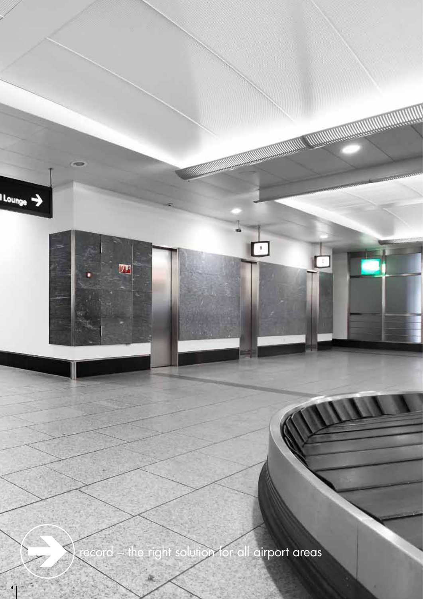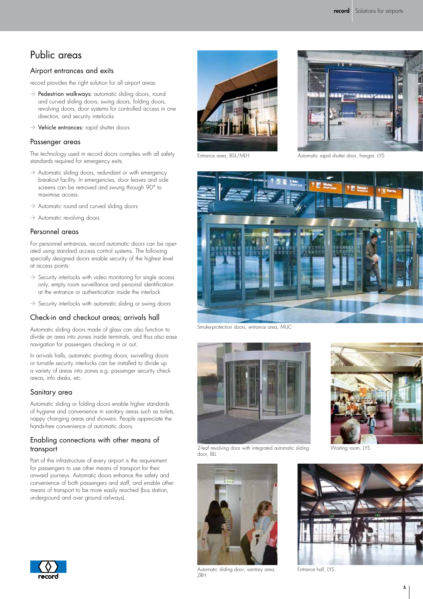# Public areas

#### Airport entrances and exits

record provides the right solution for all airport areas:

- $\rightarrow$  Pedestrian walkways: automatic sliding doors, round and curved sliding doors, swing doors, folding doors, revolving doors, door systems for controlled access in one direction, and security interlocks
- $\rightarrow$  Vehicle entrances: rapid shutter doors

#### Passenger areas

The technology used in record doors complies with all safety standards required for emergency exits.

- $\rightarrow$  Automatic sliding doors, redundant or with emergency breakout facility. In emergencies, door leaves and side screens can be removed and swung through 90° to maximise access.
- $\rightarrow$  Automatic round and curved sliding doors
- $\rightarrow$  Automatic revolving doors

#### Personnel areas

For personnel entrances, record automatic doors can be operated using standard access control systems. The following specially designed doors enable security of the highest level at access points:

- $\rightarrow$  Security interlocks with video monitoring for single access only, empty room surveillance and personal identification at the entrance or authentication inside the interlock
- $\rightarrow$  Security interlocks with automatic sliding or swing doors

#### Check-in and checkout areas; arrivals hall

Automatic sliding doors made of glass can also function to divide an area into zones inside terminals, and thus also ease navigation for passengers checking in or out.

In arrivals halls, automatic pivoting doors, swivelling doors or turnstile security interlocks can be installed to divide up a variety of areas into zones e.g. passenger security check areas, info desks, etc.

#### Sanitary area

Automatic sliding or folding doors enable higher standards of hygiene and convenience in sanitary areas such as toilets, nappy changing areas and showers. People appreciate the hands-free convenience of automatic doors.

#### Enabling connections with other means of transport

Part of the infrastructure of every airport is the requirement for passengers to use other means of transport for their onward journeys. Automatic doors enhance the safety and convenience of both passengers and staff, and enable other means of transport to be more easily reached (bus station, underground and over ground railways).



Entrance area, BSL/MLH



Automatic rapid shutter door, hangar, LYS



Smoke-protection doors, entrance area, MUC



2-leaf revolving door with integrated automatic sliding door, BLL





Waiting room, LYS





Automatic sliding door, sanitary area, ZRH

Entrance hall, LYS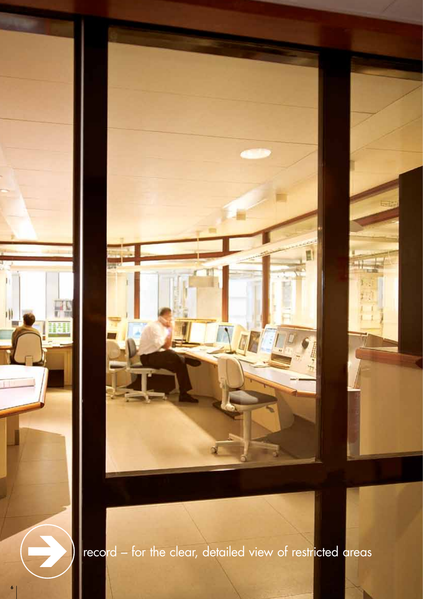

record – for the clear, detailed view of restricted areas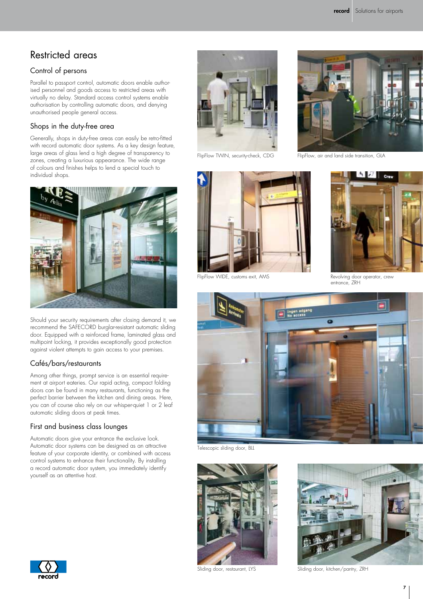# Restricted areas

## Control of persons

Parallel to passport control, automatic doors enable authorised personnel and goods access to restricted areas with virtually no delay. Standard access control systems enable authorisation by controlling automatic doors, and denying unauthorised people general access.

#### Shops in the duty-free area

Generally, shops in duty-free areas can easily be retro-fitted with record automatic door systems. As a key design feature, large areas of glass lend a high degree of transparency to zones, creating a luxurious appearance. The wide range of colours and finishes helps to lend a special touch to individual shops.



Should your security requirements after closing demand it, we recommend the SAFECORD burglar-resistant automatic sliding door. Equipped with a reinforced frame, laminated glass and multipoint locking, it provides exceptionally good protection against violent attempts to gain access to your premises.

### Cafés/bars/restaurants

Among other things, prompt service is an essential requirement at airport eateries. Our rapid acting, compact folding doors can be found in many restaurants, functioning as the perfect barrier between the kitchen and dining areas. Here, you can of course also rely on our whisper-quiet 1 or 2 leaf automatic sliding doors at peak times.

### First and business class lounges

Automatic doors give your entrance the exclusive look. Automatic door systems can be designed as an attractive feature of your corporate identity, or combined with access control systems to enhance their functionality. By installing a record automatic door system, you immediately identify yourself as an attentive host.



FlipFlow TWIN, security-check, CDG



FlipFlow WIDE, customs exit, AMS



FlipFlow, air and land side transition, GLA



Revolving door operator, crew entrance, ZRH



Telescopic sliding door, BLL





Sliding door, restaurant, LYS Sliding door, kitchen/pantry, ZRH

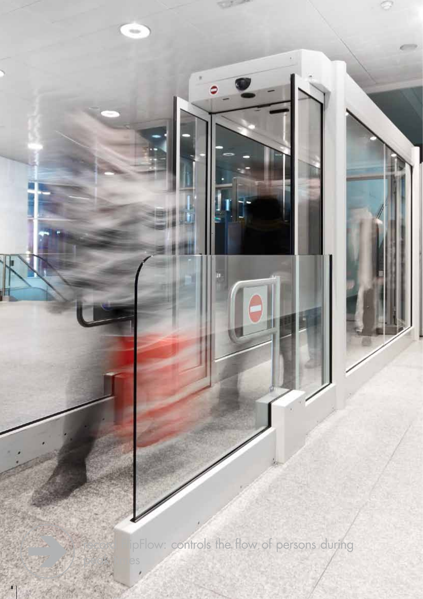ipFlow: controls the flow of persons during

8

peak <sub>times</sub>

 $\sim$ 

٥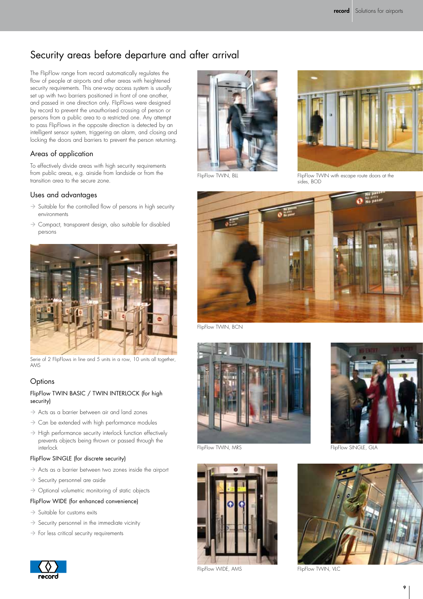# Security areas before departure and after arrival

The FlipFlow range from record automatically regulates the flow of people at airports and other areas with heightened security requirements. This one-way access system is usually set up with two barriers positioned in front of one another, and passed in one direction only. FlipFlows were designed by record to prevent the unauthorised crossing of person or persons from a public area to a restricted one. Any attempt to pass FlipFlows in the opposite direction is detected by an intelligent sensor system, triggering an alarm, and closing and locking the doors and barriers to prevent the person returning.

### Areas of application

To effectively divide areas with high security requirements from public areas, e.g. airside from landside or from the transition area to the secure zone.

#### Uses and advantages

- $\rightarrow$  Suitable for the controlled flow of persons in high security environments
- $\rightarrow$  Compact, transparent design, also suitable for disabled persons



Serie of 2 FlipFlows in line and 5 units in a row, 10 units all together, AMS

### **Options**

#### FlipFlow TWIN BASIC / TWIN INTERLOCK (for high security)

- $\rightarrow$  Acts as a barrier between air and land zones
- $\rightarrow$  Can be extended with high performance modules
- $\rightarrow$  High performance security interlock function effectively prevents objects being thrown or passed through the interlock

#### FlipFlow SINGLE (for discrete security)

- $\rightarrow$  Acts as a barrier between two zones inside the airport
- $\rightarrow$  Security personnel are aside
- $\rightarrow$  Optional volumetric monitoring of static objects

#### FlipFlow WIDE (for enhanced convenience)

- $\rightarrow$  Suitable for customs exits
- $\rightarrow$  Security personnel in the immediate vicinity
- $\rightarrow$  For less critical security requirements





FlipFlow TWIN, BLL



FlipFlow TWIN with escape route doors at the sides, BOD



FlipFlow TWIN, BCN



FlipFlow TWIN, MRS **FlipFlow SINGLE, GLA** 





9

FlipFlow TWIN, VLC

FlipFlow WIDE, AMS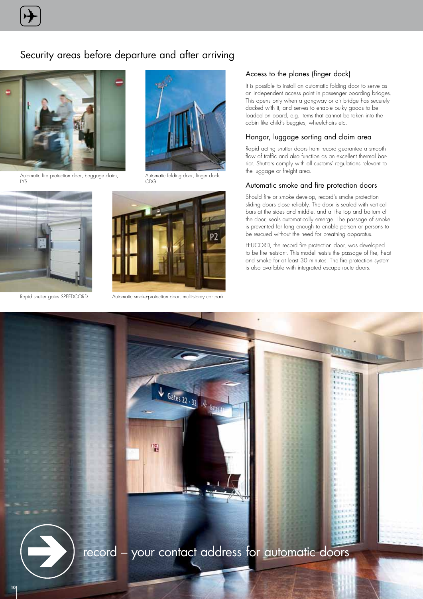# Security areas before departure and after arriving



Automatic fire protection door, baggage claim, LYS





Automatic folding door, finger dock, CDG



Rapid shutter gates SPEEDCORD Automatic smoke-protection door, multi-storey car park

#### Access to the planes (finger dock)

It is possible to install an automatic folding door to serve as an independent access point in passenger boarding bridges. This opens only when a gangway or air bridge has securely docked with it, and serves to enable bulky goods to be loaded on board, e.g. items that cannot be taken into the cabin like child's buggies, wheelchairs etc.

#### Hangar, luggage sorting and claim area

Rapid acting shutter doors from record guarantee a smooth flow of traffic and also function as an excellent thermal barrier. Shutters comply with all customs' regulations relevant to the luggage or freight area.

#### Automatic smoke and fire protection doors

Should fire or smoke develop, record's smoke protection sliding doors close reliably. The door is sealed with vertical bars at the sides and middle, and at the top and bottom of the door, seals automatically emerge. The passage of smoke is prevented for long enough to enable person or persons to be rescued without the need for breathing apparatus.

FEUCORD, the record fire protection door, was developed to be fire-resistant. This model resists the passage of fire, heat and smoke for at least 30 minutes. The fire protection system is also available with integrated escape route doors.



record – your contact address for automatic doors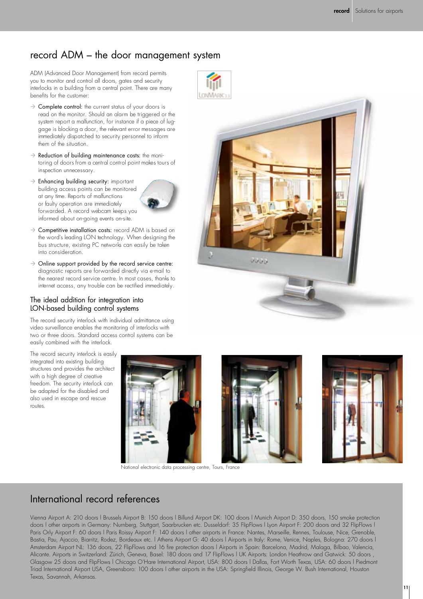# record ADM – the door management system

ADM (Advanced Door Management) from record permits you to monitor and control all doors, gates and security interlocks in a building from a central point. There are many benefits for the customer:

- $\rightarrow$  Complete control: the current status of your doors is read on the monitor. Should an alarm be triggered or the system report a malfunction, for instance if a piece of luggage is blocking a door, the relevant error messages are immediately dispatched to security personnel to inform them of the situation.
- $\rightarrow$  Reduction of building maintenance costs: the monitoring of doors from a central control point makes tours of inspection unnecessary.
- $\rightarrow$  Enhancing building security: important building access points can be monitored at any time. Reports of malfunctions or faulty operation are immediately forwarded. A record webcam keeps you informed about on-going events on-site.



- $\rightarrow$  Competitive installation costs: record ADM is based on the word's leading LON technology. When designing the bus structure, existing PC networks can easily be taken into consideration.
- $\rightarrow$  Online support provided by the record service centre: diagnostic reports are forwarded directly via e-mail to the nearest record service centre. In most cases, thanks to internet access, any trouble can be rectified immediately.

### The ideal addition for integration into LON-based building control systems

The record security interlock with individual admittance using video surveillance enables the monitoring of interlocks with two or three doors. Standard access control systems can be easily combined with the interlock.

The record security interlock is easily integrated into existing building structures and provides the architect with a high degree of creative freedom. The security interlock can be adapted for the disabled and also used in escape and rescue routes.



National electronic data processing centre, Tours, France







# International record references

Vienna Airport A: 210 doors l Brussels Airport B: 150 doors l Billund Airport DK: 100 doors l Munich Airport D: 350 doors, 150 smoke protection doors l other airports in Germany: Nurnberg, Stuttgart, Saarbrucken etc. Dusseldorf: 35 FlipFlows l Lyon Airport F: 200 doors and 32 FlipFlows l Paris Orly Airport F: 60 doors l Paris Roissy Airport F: 140 doors l other airports in France: Nantes, Marseille, Rennes, Toulouse, Nice, Grenoble, Bastia, Pau, Ajaccio, Biarritz, Rodez, Bordeaux etc. l Athens Airport G: 40 doors l Airports in Italy: Rome, Venice, Naples, Bologna: 270 doors l Amsterdam Airport NL: 136 doors, 22 FlipFlows and 16 fire protection doors l Airports in Spain: Barcelona, Madrid, Malaga, Bilbao, Valencia, Alicante. Airports in Switzerland: Zürich, Geneva, Basel: 180 doors and 17 FlipFlows l UK Airports: London Heathrow and Gatwick: 50 doors , Glasgow 25 doors and FlipFlows l Chicago O'Hare International Airport, USA: 800 doors l Dallas, Fort Worth Texas, USA: 60 doors l Piedmont Triad International Airport USA, Greensboro: 100 doors l other airports in the USA: Springfield Illinois, George W. Bush International, Houston Texas, Savannah, Arkansas.